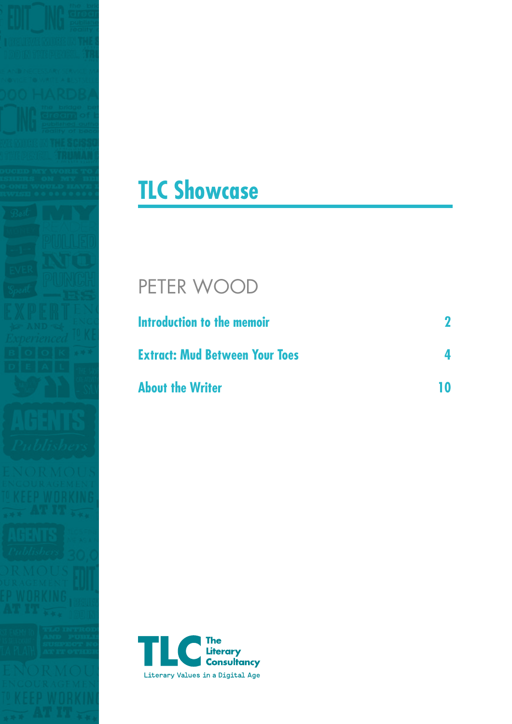



|  | PETER WOOD |  |
|--|------------|--|
|  |            |  |

| Introduction to the memoir            |    |
|---------------------------------------|----|
| <b>Extract: Mud Between Your Toes</b> |    |
| <b>About the Writer</b>               | 10 |

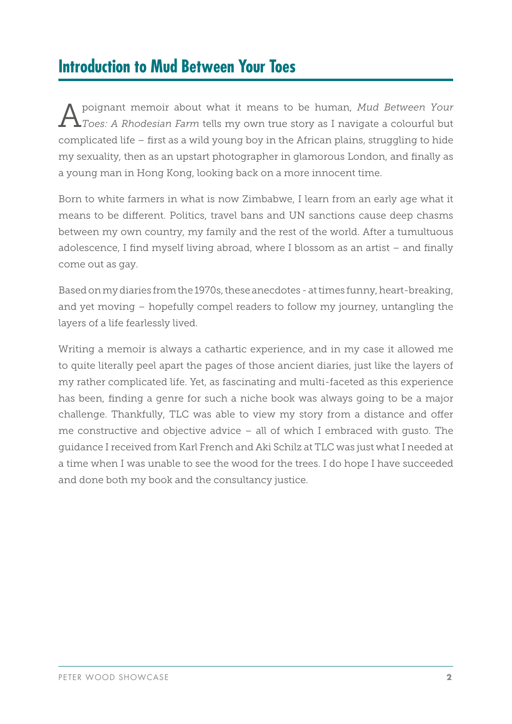## **Introduction to Mud Between Your Toes**

A poignant memoir about what it means to be human, *Mud Between Your Toes: A Rhodesian Farm* tells my own true story as I navigate a colourful but complicated life – first as a wild young boy in the African plains, struggling to hide my sexuality, then as an upstart photographer in glamorous London, and finally as a young man in Hong Kong, looking back on a more innocent time.

Born to white farmers in what is now Zimbabwe, I learn from an early age what it means to be different. Politics, travel bans and UN sanctions cause deep chasms between my own country, my family and the rest of the world. After a tumultuous adolescence, I find myself living abroad, where I blossom as an artist – and finally come out as gay.

Based on my diaries from the 1970s, these anecdotes - at times funny, heart-breaking, and yet moving – hopefully compel readers to follow my journey, untangling the layers of a life fearlessly lived.

Writing a memoir is always a cathartic experience, and in my case it allowed me to quite literally peel apart the pages of those ancient diaries, just like the layers of my rather complicated life. Yet, as fascinating and multi-faceted as this experience has been, finding a genre for such a niche book was always going to be a major challenge. Thankfully, TLC was able to view my story from a distance and offer me constructive and objective advice – all of which I embraced with gusto. The guidance I received from Karl French and Aki Schilz at TLC was just what I needed at a time when I was unable to see the wood for the trees. I do hope I have succeeded and done both my book and the consultancy justice.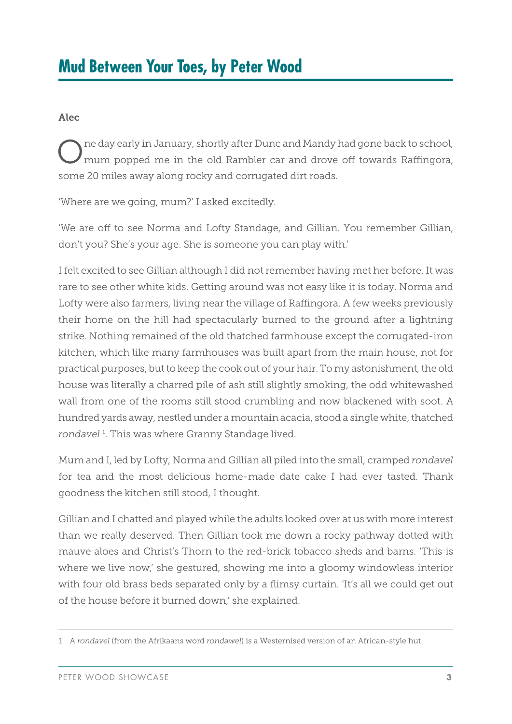## Alec

One day early in January, shortly after Dunc and Mandy had gone back to school,<br>
O mum popped me in the old Rambler car and drove off towards Raffingora, some 20 miles away along rocky and corrugated dirt roads.

'Where are we going, mum?' I asked excitedly.

'We are off to see Norma and Lofty Standage, and Gillian. You remember Gillian, don't you? She's your age. She is someone you can play with.'

I felt excited to see Gillian although I did not remember having met her before. It was rare to see other white kids. Getting around was not easy like it is today. Norma and Lofty were also farmers, living near the village of Raffingora. A few weeks previously their home on the hill had spectacularly burned to the ground after a lightning strike. Nothing remained of the old thatched farmhouse except the corrugated-iron kitchen, which like many farmhouses was built apart from the main house, not for practical purposes, but to keep the cook out of your hair. To my astonishment, the old house was literally a charred pile of ash still slightly smoking, the odd whitewashed wall from one of the rooms still stood crumbling and now blackened with soot. A hundred yards away, nestled under a mountain acacia, stood a single white, thatched *rondavel* <sup>1</sup> . This was where Granny Standage lived.

Mum and I, led by Lofty, Norma and Gillian all piled into the small, cramped *rondavel* for tea and the most delicious home-made date cake I had ever tasted. Thank goodness the kitchen still stood, I thought.

Gillian and I chatted and played while the adults looked over at us with more interest than we really deserved. Then Gillian took me down a rocky pathway dotted with mauve aloes and Christ's Thorn to the red-brick tobacco sheds and barns. 'This is where we live now,' she gestured, showing me into a gloomy windowless interior with four old brass beds separated only by a flimsy curtain. 'It's all we could get out of the house before it burned down,' she explained.

<sup>1</sup> A *rondavel* (from the Afrikaans word *rondawel*) is a Westernised version of an African-style hut.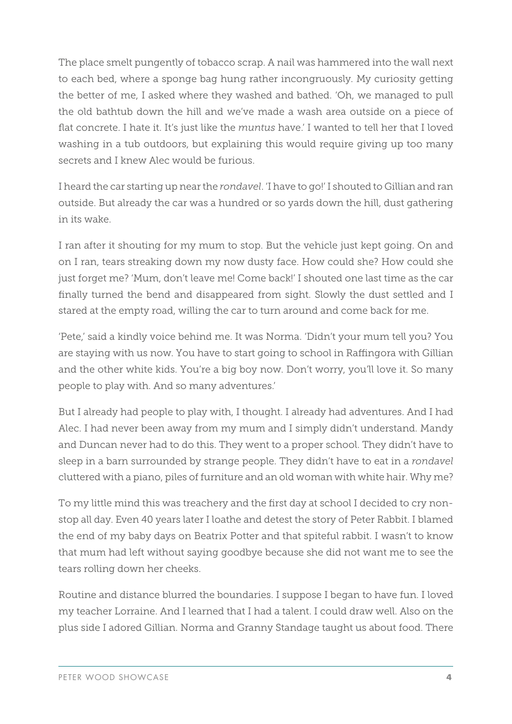The place smelt pungently of tobacco scrap. A nail was hammered into the wall next to each bed, where a sponge bag hung rather incongruously. My curiosity getting the better of me, I asked where they washed and bathed. 'Oh, we managed to pull the old bathtub down the hill and we've made a wash area outside on a piece of flat concrete. I hate it. It's just like the *muntus* have.' I wanted to tell her that I loved washing in a tub outdoors, but explaining this would require giving up too many secrets and I knew Alec would be furious.

I heard the car starting up near the *rondavel*. 'I have to go!' I shouted to Gillian and ran outside. But already the car was a hundred or so yards down the hill, dust gathering in its wake.

I ran after it shouting for my mum to stop. But the vehicle just kept going. On and on I ran, tears streaking down my now dusty face. How could she? How could she just forget me? 'Mum, don't leave me! Come back!' I shouted one last time as the car finally turned the bend and disappeared from sight. Slowly the dust settled and I stared at the empty road, willing the car to turn around and come back for me.

'Pete,' said a kindly voice behind me. It was Norma. 'Didn't your mum tell you? You are staying with us now. You have to start going to school in Raffingora with Gillian and the other white kids. You're a big boy now. Don't worry, you'll love it. So many people to play with. And so many adventures.'

But I already had people to play with, I thought. I already had adventures. And I had Alec. I had never been away from my mum and I simply didn't understand. Mandy and Duncan never had to do this. They went to a proper school. They didn't have to sleep in a barn surrounded by strange people. They didn't have to eat in a *rondavel* cluttered with a piano, piles of furniture and an old woman with white hair. Why me?

To my little mind this was treachery and the first day at school I decided to cry nonstop all day. Even 40 years later I loathe and detest the story of Peter Rabbit. I blamed the end of my baby days on Beatrix Potter and that spiteful rabbit. I wasn't to know that mum had left without saying goodbye because she did not want me to see the tears rolling down her cheeks.

Routine and distance blurred the boundaries. I suppose I began to have fun. I loved my teacher Lorraine. And I learned that I had a talent. I could draw well. Also on the plus side I adored Gillian. Norma and Granny Standage taught us about food. There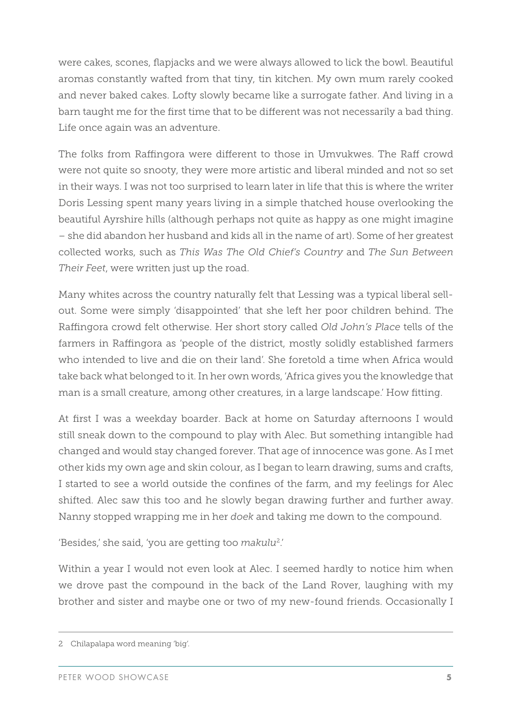were cakes, scones, flapjacks and we were always allowed to lick the bowl. Beautiful aromas constantly wafted from that tiny, tin kitchen. My own mum rarely cooked and never baked cakes. Lofty slowly became like a surrogate father. And living in a barn taught me for the first time that to be different was not necessarily a bad thing. Life once again was an adventure.

The folks from Raffingora were different to those in Umvukwes. The Raff crowd were not quite so snooty, they were more artistic and liberal minded and not so set in their ways. I was not too surprised to learn later in life that this is where the writer Doris Lessing spent many years living in a simple thatched house overlooking the beautiful Ayrshire hills (although perhaps not quite as happy as one might imagine – she did abandon her husband and kids all in the name of art). Some of her greatest collected works, such as *This Was The Old Chief's Country* and *The Sun Between Their Feet*, were written just up the road.

Many whites across the country naturally felt that Lessing was a typical liberal sellout. Some were simply 'disappointed' that she left her poor children behind. The Raffingora crowd felt otherwise. Her short story called *Old John's Place* tells of the farmers in Raffingora as 'people of the district, mostly solidly established farmers who intended to live and die on their land'. She foretold a time when Africa would take back what belonged to it. In her own words, 'Africa gives you the knowledge that man is a small creature, among other creatures, in a large landscape.' How fitting.

At first I was a weekday boarder. Back at home on Saturday afternoons I would still sneak down to the compound to play with Alec. But something intangible had changed and would stay changed forever. That age of innocence was gone. As I met other kids my own age and skin colour, as I began to learn drawing, sums and crafts, I started to see a world outside the confines of the farm, and my feelings for Alec shifted. Alec saw this too and he slowly began drawing further and further away. Nanny stopped wrapping me in her *doek* and taking me down to the compound.

'Besides,' she said, 'you are getting too *makulu*2.'

Within a year I would not even look at Alec. I seemed hardly to notice him when we drove past the compound in the back of the Land Rover, laughing with my brother and sister and maybe one or two of my new-found friends. Occasionally I

<sup>2</sup> Chilapalapa word meaning 'big'.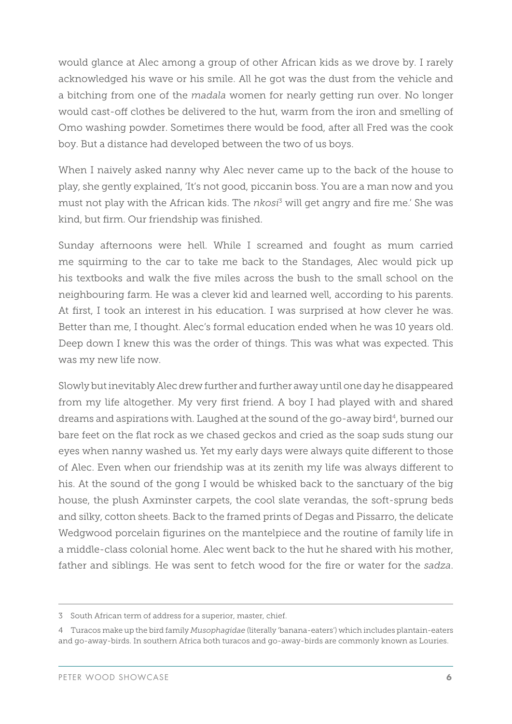would glance at Alec among a group of other African kids as we drove by. I rarely acknowledged his wave or his smile. All he got was the dust from the vehicle and a bitching from one of the *madala* women for nearly getting run over. No longer would cast-off clothes be delivered to the hut, warm from the iron and smelling of Omo washing powder. Sometimes there would be food, after all Fred was the cook boy. But a distance had developed between the two of us boys.

When I naively asked nanny why Alec never came up to the back of the house to play, she gently explained, 'It's not good, piccanin boss. You are a man now and you must not play with the African kids. The *nkosi*<sup>3</sup> will get angry and fire me.' She was kind, but firm. Our friendship was finished.

Sunday afternoons were hell. While I screamed and fought as mum carried me squirming to the car to take me back to the Standages, Alec would pick up his textbooks and walk the five miles across the bush to the small school on the neighbouring farm. He was a clever kid and learned well, according to his parents. At first, I took an interest in his education. I was surprised at how clever he was. Better than me, I thought. Alec's formal education ended when he was 10 years old. Deep down I knew this was the order of things. This was what was expected. This was my new life now.

Slowly but inevitably Alec drew further and further away until one day he disappeared from my life altogether. My very first friend. A boy I had played with and shared dreams and aspirations with. Laughed at the sound of the go-away bird<sup>4</sup>, burned our bare feet on the flat rock as we chased geckos and cried as the soap suds stung our eyes when nanny washed us. Yet my early days were always quite different to those of Alec. Even when our friendship was at its zenith my life was always different to his. At the sound of the gong I would be whisked back to the sanctuary of the big house, the plush Axminster carpets, the cool slate verandas, the soft-sprung beds and silky, cotton sheets. Back to the framed prints of Degas and Pissarro, the delicate Wedgwood porcelain figurines on the mantelpiece and the routine of family life in a middle-class colonial home. Alec went back to the hut he shared with his mother, father and siblings. He was sent to fetch wood for the fire or water for the *sadza*.

<sup>3</sup> South African term of address for a superior, master, chief.

<sup>4</sup> Turacos make up the bird family *Musophagidae* (literally 'banana-eaters') which includes plantain-eaters and go-away-birds. In southern Africa both turacos and go-away-birds are commonly known as Louries.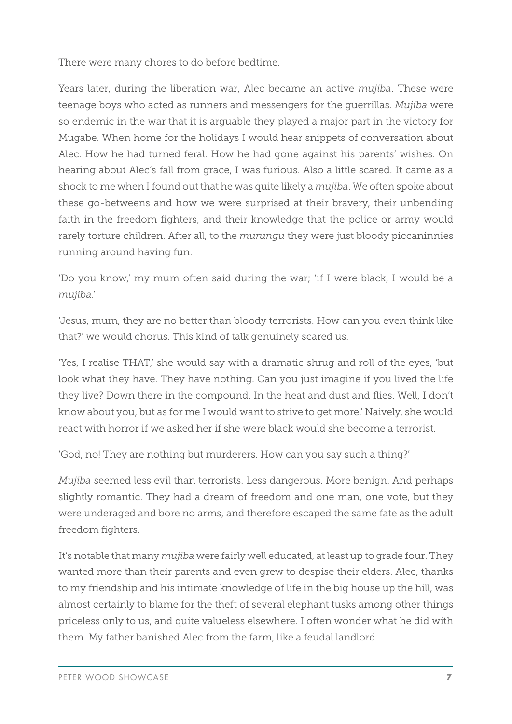There were many chores to do before bedtime.

Years later, during the liberation war, Alec became an active *mujiba*. These were teenage boys who acted as runners and messengers for the guerrillas. *Mujiba* were so endemic in the war that it is arguable they played a major part in the victory for Mugabe. When home for the holidays I would hear snippets of conversation about Alec. How he had turned feral. How he had gone against his parents' wishes. On hearing about Alec's fall from grace, I was furious. Also a little scared. It came as a shock to me when I found out that he was quite likely a *mujiba*. We often spoke about these go-betweens and how we were surprised at their bravery, their unbending faith in the freedom fighters, and their knowledge that the police or army would rarely torture children. After all, to the *murungu* they were just bloody piccaninnies running around having fun.

'Do you know,' my mum often said during the war; 'if I were black, I would be a *mujiba*.'

'Jesus, mum, they are no better than bloody terrorists. How can you even think like that?' we would chorus. This kind of talk genuinely scared us.

'Yes, I realise THAT,' she would say with a dramatic shrug and roll of the eyes, 'but look what they have. They have nothing. Can you just imagine if you lived the life they live? Down there in the compound. In the heat and dust and flies. Well, I don't know about you, but as for me I would want to strive to get more.' Naively, she would react with horror if we asked her if she were black would she become a terrorist.

'God, no! They are nothing but murderers. How can you say such a thing?'

*Mujiba* seemed less evil than terrorists. Less dangerous. More benign. And perhaps slightly romantic. They had a dream of freedom and one man, one vote, but they were underaged and bore no arms, and therefore escaped the same fate as the adult freedom fighters.

It's notable that many *mujiba* were fairly well educated, at least up to grade four. They wanted more than their parents and even grew to despise their elders. Alec, thanks to my friendship and his intimate knowledge of life in the big house up the hill, was almost certainly to blame for the theft of several elephant tusks among other things priceless only to us, and quite valueless elsewhere. I often wonder what he did with them. My father banished Alec from the farm, like a feudal landlord.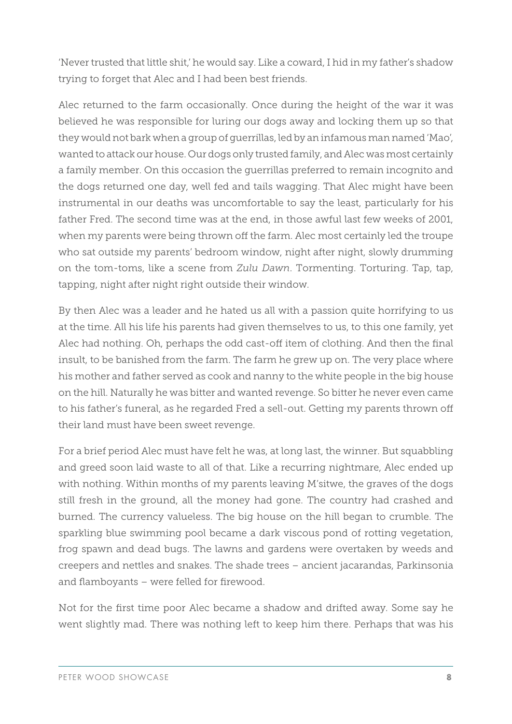'Never trusted that little shit,' he would say. Like a coward, I hid in my father's shadow trying to forget that Alec and I had been best friends.

Alec returned to the farm occasionally. Once during the height of the war it was believed he was responsible for luring our dogs away and locking them up so that they would not bark when a group of guerrillas, led by an infamous man named 'Mao', wanted to attack our house. Our dogs only trusted family, and Alec was most certainly a family member. On this occasion the guerrillas preferred to remain incognito and the dogs returned one day, well fed and tails wagging. That Alec might have been instrumental in our deaths was uncomfortable to say the least, particularly for his father Fred. The second time was at the end, in those awful last few weeks of 2001, when my parents were being thrown off the farm. Alec most certainly led the troupe who sat outside my parents' bedroom window, night after night, slowly drumming on the tom-toms, like a scene from *Zulu Dawn*. Tormenting. Torturing. Tap, tap, tapping, night after night right outside their window.

By then Alec was a leader and he hated us all with a passion quite horrifying to us at the time. All his life his parents had given themselves to us, to this one family, yet Alec had nothing. Oh, perhaps the odd cast-off item of clothing. And then the final insult, to be banished from the farm. The farm he grew up on. The very place where his mother and father served as cook and nanny to the white people in the big house on the hill. Naturally he was bitter and wanted revenge. So bitter he never even came to his father's funeral, as he regarded Fred a sell-out. Getting my parents thrown off their land must have been sweet revenge.

For a brief period Alec must have felt he was, at long last, the winner. But squabbling and greed soon laid waste to all of that. Like a recurring nightmare, Alec ended up with nothing. Within months of my parents leaving M'sitwe, the graves of the dogs still fresh in the ground, all the money had gone. The country had crashed and burned. The currency valueless. The big house on the hill began to crumble. The sparkling blue swimming pool became a dark viscous pond of rotting vegetation, frog spawn and dead bugs. The lawns and gardens were overtaken by weeds and creepers and nettles and snakes. The shade trees – ancient jacarandas, Parkinsonia and flamboyants – were felled for firewood.

Not for the first time poor Alec became a shadow and drifted away. Some say he went slightly mad. There was nothing left to keep him there. Perhaps that was his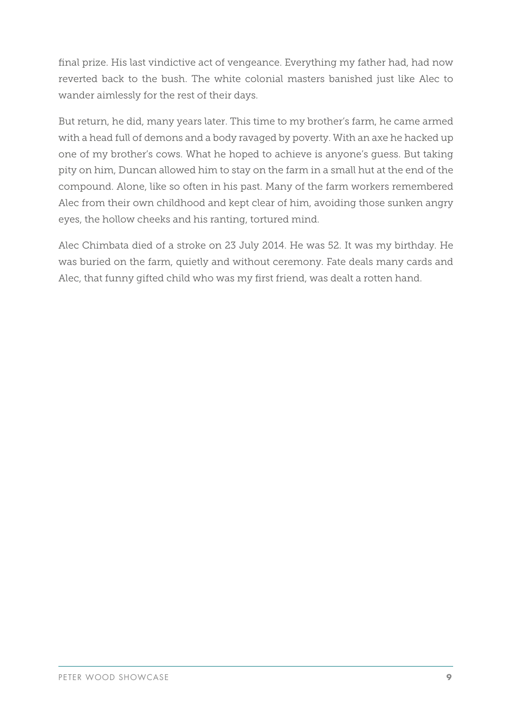final prize. His last vindictive act of vengeance. Everything my father had, had now reverted back to the bush. The white colonial masters banished just like Alec to wander aimlessly for the rest of their days.

But return, he did, many years later. This time to my brother's farm, he came armed with a head full of demons and a body ravaged by poverty. With an axe he hacked up one of my brother's cows. What he hoped to achieve is anyone's guess. But taking pity on him, Duncan allowed him to stay on the farm in a small hut at the end of the compound. Alone, like so often in his past. Many of the farm workers remembered Alec from their own childhood and kept clear of him, avoiding those sunken angry eyes, the hollow cheeks and his ranting, tortured mind.

Alec Chimbata died of a stroke on 23 July 2014. He was 52. It was my birthday. He was buried on the farm, quietly and without ceremony. Fate deals many cards and Alec, that funny gifted child who was my first friend, was dealt a rotten hand.